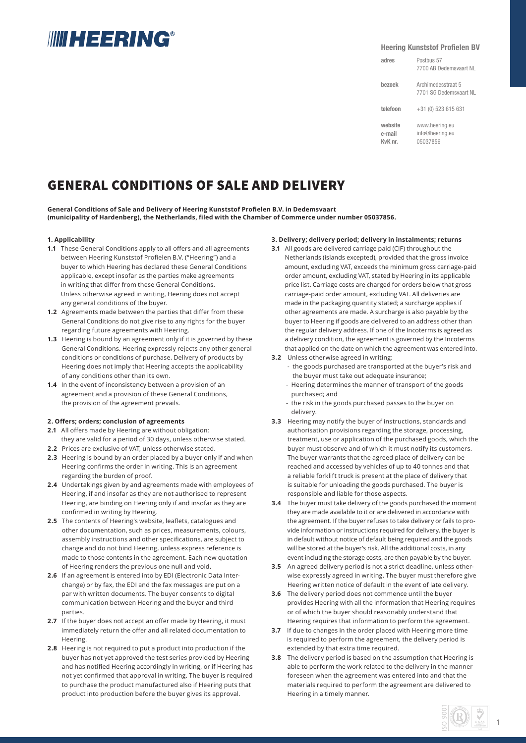# **IIIII HEERING®**

### **Heering Kunststof Profielen BV**

Postbus 57 7700 AB Dedemsvaart NL Archimedesstraat 5 7701 SG Dedemsvaart NL +31 (0) 523 615 631 www.heering.eu info@heering.eu **adres bezoek telefoon website e-mail**

05037856

**KvK nr.**

# GENERAL CONDITIONS OF SALE AND DELIVERY

General Conditions of Sale and Delivery of Heering Kunststof Profielen B.V. in Dedemsvaart **(municipality of Hardenberg), the Netherlands, fi led with the Chamber of Commerce under number 05037856.**

### **1. Applicability**

- **1.1** These General Conditions apply to all offers and all agreements between Heering Kunststof Profielen B.V. ("Heering") and a buyer to which Heering has declared these General Conditions applicable, except insofar as the parties make agreements in writing that differ from these General Conditions. Unless otherwise agreed in writing, Heering does not accept any general conditions of the buyer.
- **1.2** Agreements made between the parties that differ from these General Conditions do not give rise to any rights for the buyer regarding future agreements with Heering.
- **1.3** Heering is bound by an agreement only if it is governed by these General Conditions. Heering expressly rejects any other general conditions or conditions of purchase. Delivery of products by Heering does not imply that Heering accepts the applicability of any conditions other than its own.
- **1.4** In the event of inconsistency between a provision of an agreement and a provision of these General Conditions, the provision of the agreement prevails.

# **2. Off ers; orders; conclusion of agreements**

- **2.1** All offers made by Heering are without obligation; they are valid for a period of 30 days, unless otherwise stated.
- **2.2** Prices are exclusive of VAT, unless otherwise stated.
- **2.3** Heering is bound by an order placed by a buyer only if and when Heering confirms the order in writing. This is an agreement regarding the burden of proof.
- **2.4** Undertakings given by and agreements made with employees of Heering, if and insofar as they are not authorised to represent Heering, are binding on Heering only if and insofar as they are confirmed in writing by Heering.
- **2.5** The contents of Heering's website, leaflets, catalogues and other documentation, such as prices, measurements, colours, assembly instructions and other specifications, are subject to change and do not bind Heering, unless express reference is made to those contents in the agreement. Each new quotation of Heering renders the previous one null and void.
- **2.6** If an agreement is entered into by EDI (Electronic Data Interchange) or by fax, the EDI and the fax messages are put on a par with written documents. The buyer consents to digital communication between Heering and the buyer and third parties.
- **2.7** If the buyer does not accept an offer made by Heering, it must immediately return the offer and all related documentation to Heering.
- **2.8** Heering is not required to put a product into production if the buyer has not yet approved the test series provided by Heering and has notified Heering accordingly in writing, or if Heering has not yet confirmed that approval in writing. The buyer is required to purchase the product manufactured also if Heering puts that product into production before the buyer gives its approval.

#### **3. Delivery; delivery period; delivery in instalments; returns**

- **3.1** All goods are delivered carriage paid (CIF) throughout the Netherlands (islands excepted), provided that the gross invoice amount, excluding VAT, exceeds the minimum gross carriage-paid order amount, excluding VAT, stated by Heering in its applicable price list. Carriage costs are charged for orders below that gross carriage-paid order amount, excluding VAT. All deliveries are made in the packaging quantity stated; a surcharge applies if other agreements are made. A surcharge is also payable by the buyer to Heering if goods are delivered to an address other than the regular delivery address. If one of the Incoterms is agreed as a delivery condition, the agreement is governed by the Incoterms that applied on the date on which the agreement was entered into.
- **3.2** Unless otherwise agreed in writing:
	- the goods purchased are transported at the buyer's risk and the buyer must take out adequate insurance;
	- Heering determines the manner of transport of the goods purchased; and
	- the risk in the goods purchased passes to the buyer on delivery.
- **3.3** Heering may notify the buyer of instructions, standards and authorisation provisions regarding the storage, processing, treatment, use or application of the purchased goods, which the buyer must observe and of which it must notify its customers. The buyer warrants that the agreed place of delivery can be reached and accessed by vehicles of up to 40 tonnes and that a reliable forklift truck is present at the place of delivery that is suitable for unloading the goods purchased. The buyer is responsible and liable for those aspects.
- **3.4** The buyer must take delivery of the goods purchased the moment they are made available to it or are delivered in accordance with the agreement. If the buyer refuses to take delivery or fails to provide information or instructions required for delivery, the buyer is in default without notice of default being required and the goods will be stored at the buyer's risk. All the additional costs, in any event including the storage costs, are then payable by the buyer.
- **3.5** An agreed delivery period is not a strict deadline, unless otherwise expressly agreed in writing. The buyer must therefore give Heering written notice of default in the event of late delivery.
- **3.6** The delivery period does not commence until the buyer provides Heering with all the information that Heering requires or of which the buyer should reasonably understand that Heering requires that information to perform the agreement.
- **3.7** If due to changes in the order placed with Heering more time is required to perform the agreement, the delivery period is extended by that extra time required.
- **3.8** The delivery period is based on the assumption that Heering is able to perform the work related to the delivery in the manner foreseen when the agreement was entered into and that the materials required to perform the agreement are delivered to Heering in a timely manner.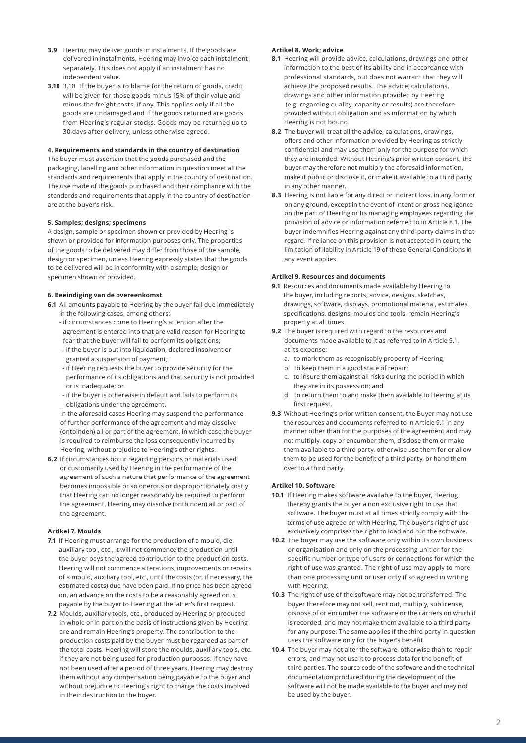- **3.9** Heering may deliver goods in instalments. If the goods are delivered in instalments, Heering may invoice each instalment separately. This does not apply if an instalment has no independent value.
- **3.10** 3.10 If the buyer is to blame for the return of goods, credit will be given for those goods minus 15% of their value and minus the freight costs, if any. This applies only if all the goods are undamaged and if the goods returned are goods from Heering's regular stocks. Goods may be returned up to 30 days after delivery, unless otherwise agreed.

# **4. Requirements and standards in the country of destination**

The buyer must ascertain that the goods purchased and the packaging, labelling and other information in question meet all the standards and requirements that apply in the country of destination. The use made of the goods purchased and their compliance with the standards and requirements that apply in the country of destination are at the buyer's risk.

## **5. Samples; designs; specimens**

A design, sample or specimen shown or provided by Heering is shown or provided for information purposes only. The properties of the goods to be delivered may differ from those of the sample, design or specimen, unless Heering expressly states that the goods to be delivered will be in conformity with a sample, design or specimen shown or provided.

### **6. Beëindiging van de overeenkomst**

- **6.1** All amounts payable to Heering by the buyer fall due immediately in the following cases, among others:
	- if circumstances come to Heering's attention after the agreement is entered into that are valid reason for Heering to fear that the buyer will fail to perform its obligations;
	- if the buyer is put into liquidation, declared insolvent or granted a suspension of payment;
	- if Heering requests the buyer to provide security for the performance of its obligations and that security is not provided or is inadequate; or
	- if the buyer is otherwise in default and fails to perform its obligations under the agreement.

 In the aforesaid cases Heering may suspend the performance of further performance of the agreement and may dissolve (ontbinden) all or part of the agreement, in which case the buyer is required to reimburse the loss consequently incurred by Heering, without prejudice to Heering's other rights.

**6.2** If circumstances occur regarding persons or materials used or customarily used by Heering in the performance of the agreement of such a nature that performance of the agreement becomes impossible or so onerous or disproportionately costly that Heering can no longer reasonably be required to perform the agreement, Heering may dissolve (ontbinden) all or part of the agreement.

# **Artikel 7. Moulds**

- **7.1** If Heering must arrange for the production of a mould, die, auxiliary tool, etc., it will not commence the production until the buyer pays the agreed contribution to the production costs. Heering will not commence alterations, improvements or repairs of a mould, auxiliary tool, etc., until the costs (or, if necessary, the estimated costs) due have been paid. If no price has been agreed on, an advance on the costs to be a reasonably agreed on is payable by the buyer to Heering at the latter's first request.
- **7.2** Moulds, auxiliary tools, etc., produced by Heering or produced in whole or in part on the basis of instructions given by Heering are and remain Heering's property. The contribution to the production costs paid by the buyer must be regarded as part of the total costs. Heering will store the moulds, auxiliary tools, etc. if they are not being used for production purposes. If they have not been used after a period of three years, Heering may destroy them without any compensation being payable to the buyer and without prejudice to Heering's right to charge the costs involved in their destruction to the buyer.

# **Artikel 8. Work; advice**

- **8.1** Heering will provide advice, calculations, drawings and other information to the best of its ability and in accordance with professional standards, but does not warrant that they will achieve the proposed results. The advice, calculations, drawings and other information provided by Heering (e.g. regarding quality, capacity or results) are therefore provided without obligation and as information by which Heering is not bound.
- **8.2** The buyer will treat all the advice, calculations, drawings, offers and other information provided by Heering as strictly confidential and may use them only for the purpose for which they are intended. Without Heering's prior written consent, the buyer may therefore not multiply the aforesaid information, make it public or disclose it, or make it available to a third party in any other manner.
- **8.3** Heering is not liable for any direct or indirect loss, in any form or on any ground, except in the event of intent or gross negligence on the part of Heering or its managing employees regarding the provision of advice or information referred to in Article 8.1. The buyer indemnifies Heering against any third-party claims in that regard. If reliance on this provision is not accepted in court, the limitation of liability in Article 19 of these General Conditions in any event applies.

### **Artikel 9. Resources and documents**

- **9.1** Resources and documents made available by Heering to the buyer, including reports, advice, designs, sketches, drawings, software, displays, promotional material, estimates, specifications, designs, moulds and tools, remain Heering's property at all times.
- **9.2** The buyer is required with regard to the resources and documents made available to it as referred to in Article 9.1, at its expense:
	- a. to mark them as recognisably property of Heering;
	- b. to keep them in a good state of repair;
	- c. to insure them against all risks during the period in which they are in its possession; and
	- d. to return them to and make them available to Heering at its first request.
- **9.3** Without Heering's prior written consent, the Buyer may not use the resources and documents referred to in Article 9.1 in any manner other than for the purposes of the agreement and may not multiply, copy or encumber them, disclose them or make them available to a third party, otherwise use them for or allow them to be used for the benefit of a third party, or hand them over to a third party.

# **Artikel 10. Software**

- **10.1** If Heering makes software available to the buyer, Heering thereby grants the buyer a non exclusive right to use that software. The buyer must at all times strictly comply with the terms of use agreed on with Heering. The buyer's right of use exclusively comprises the right to load and run the software.
- **10.2** The buyer may use the software only within its own business or organisation and only on the processing unit or for the specific number or type of users or connections for which the right of use was granted. The right of use may apply to more than one processing unit or user only if so agreed in writing with Heering.
- **10.3** The right of use of the software may not be transferred. The buyer therefore may not sell, rent out, multiply, sublicense, dispose of or encumber the software or the carriers on which it is recorded, and may not make them available to a third party for any purpose. The same applies if the third party in question uses the software only for the buyer's benefit.
- **10.4** The buyer may not alter the software, otherwise than to repair errors, and may not use it to process data for the benefit of third parties. The source code of the software and the technical documentation produced during the development of the software will not be made available to the buyer and may not be used by the buyer.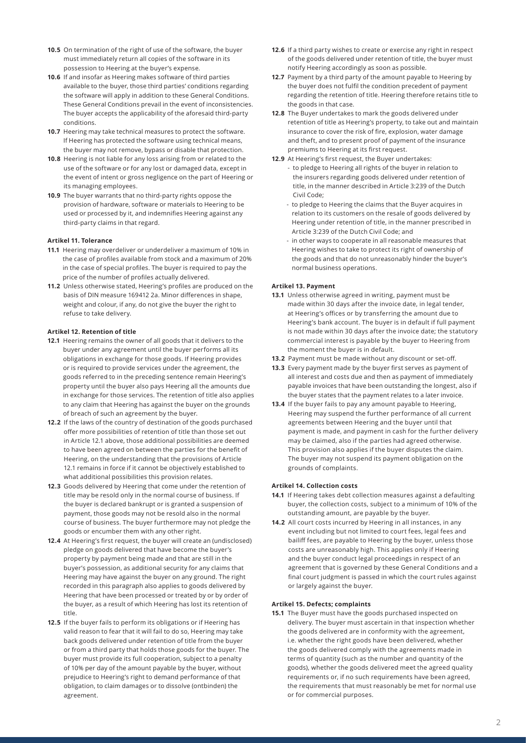- **10.5** On termination of the right of use of the software, the buyer must immediately return all copies of the software in its possession to Heering at the buyer's expense.
- **10.6** If and insofar as Heering makes software of third parties available to the buyer, those third parties' conditions regarding the software will apply in addition to these General Conditions. These General Conditions prevail in the event of inconsistencies. The buyer accepts the applicability of the aforesaid third-party conditions.
- **10.7** Heering may take technical measures to protect the software. If Heering has protected the software using technical means, the buyer may not remove, bypass or disable that protection.
- **10.8** Heering is not liable for any loss arising from or related to the use of the software or for any lost or damaged data, except in the event of intent or gross negligence on the part of Heering or its managing employees.
- **10.9** The buyer warrants that no third-party rights oppose the provision of hardware, software or materials to Heering to be used or processed by it, and indemnifies Heering against any third-party claims in that regard.

### **Artikel 11. Tolerance**

- **11.1** Heering may overdeliver or underdeliver a maximum of 10% in the case of profiles available from stock and a maximum of 20% in the case of special profiles. The buyer is required to pay the price of the number of profiles actually delivered.
- **11.2** Unless otherwise stated, Heering's profiles are produced on the basis of DIN measure 169412 2a. Minor differences in shape, weight and colour, if any, do not give the buyer the right to refuse to take delivery.

# **Artikel 12. Retention of title**

- **12.1** Heering remains the owner of all goods that it delivers to the buyer under any agreement until the buyer performs all its obligations in exchange for those goods. If Heering provides or is required to provide services under the agreement, the goods referred to in the preceding sentence remain Heering's property until the buyer also pays Heering all the amounts due in exchange for those services. The retention of title also applies to any claim that Heering has against the buyer on the grounds of breach of such an agreement by the buyer.
- **12.2** If the laws of the country of destination of the goods purchased offer more possibilities of retention of title than those set out in Article 12.1 above, those additional possibilities are deemed to have been agreed on between the parties for the benefit of Heering, on the understanding that the provisions of Article 12.1 remains in force if it cannot be objectively established to what additional possibilities this provision relates.
- **12.3** Goods delivered by Heering that come under the retention of title may be resold only in the normal course of business. If the buyer is declared bankrupt or is granted a suspension of payment, those goods may not be resold also in the normal course of business. The buyer furthermore may not pledge the goods or encumber them with any other right.
- **12.4** At Heering's first request, the buyer will create an (undisclosed) pledge on goods delivered that have become the buyer's property by payment being made and that are still in the buyer's possession, as additional security for any claims that Heering may have against the buyer on any ground. The right recorded in this paragraph also applies to goods delivered by Heering that have been processed or treated by or by order of the buyer, as a result of which Heering has lost its retention of title.
- **12.5** If the buyer fails to perform its obligations or if Heering has valid reason to fear that it will fail to do so, Heering may take back goods delivered under retention of title from the buyer or from a third party that holds those goods for the buyer. The buyer must provide its full cooperation, subject to a penalty of 10% per day of the amount payable by the buyer, without prejudice to Heering's right to demand performance of that obligation, to claim damages or to dissolve (ontbinden) the agreement.
- **12.6** If a third party wishes to create or exercise any right in respect of the goods delivered under retention of title, the buyer must notify Heering accordingly as soon as possible.
- **12.7** Payment by a third party of the amount payable to Heering by the buyer does not fulfil the condition precedent of payment regarding the retention of title. Heering therefore retains title to the goods in that case.
- **12.8** The Buyer undertakes to mark the goods delivered under retention of title as Heering's property, to take out and maintain insurance to cover the risk of fire, explosion, water damage and theft, and to present proof of payment of the insurance premiums to Heering at its first request.
- **12.9** At Heering's first request, the Buyer undertakes:
	- to pledge to Heering all rights of the buyer in relation to the insurers regarding goods delivered under retention of title, in the manner described in Article 3:239 of the Dutch Civil Code;
	- to pledge to Heering the claims that the Buyer acquires in relation to its customers on the resale of goods delivered by Heering under retention of title, in the manner prescribed in Article 3:239 of the Dutch Civil Code; and
	- in other ways to cooperate in all reasonable measures that Heering wishes to take to protect its right of ownership of the goods and that do not unreasonably hinder the buyer's normal business operations.

### **Artikel 13. Payment**

- **13.1** Unless otherwise agreed in writing, payment must be made within 30 days after the invoice date, in legal tender, at Heering's offices or by transferring the amount due to Heering's bank account. The buyer is in default if full payment is not made within 30 days after the invoice date; the statutory commercial interest is payable by the buyer to Heering from the moment the buyer is in default.
- **13.2** Payment must be made without any discount or set-off.
- **13.3** Every payment made by the buyer first serves as payment of all interest and costs due and then as payment of immediately payable invoices that have been outstanding the longest, also if the buyer states that the payment relates to a later invoice.
- **13.4** If the buyer fails to pay any amount payable to Heering, Heering may suspend the further performance of all current agreements between Heering and the buyer until that payment is made, and payment in cash for the further delivery may be claimed, also if the parties had agreed otherwise. This provision also applies if the buyer disputes the claim. The buyer may not suspend its payment obligation on the grounds of complaints.

# **Artikel 14. Collection costs**

- **14.1** If Heering takes debt collection measures against a defaulting buyer, the collection costs, subject to a minimum of 10% of the outstanding amount, are payable by the buyer.
- **14.2** All court costs incurred by Heering in all instances, in any event including but not limited to court fees, legal fees and bailiff fees, are payable to Heering by the buyer, unless those costs are unreasonably high. This applies only if Heering and the buyer conduct legal proceedings in respect of an agreement that is governed by these General Conditions and a final court judgment is passed in which the court rules against or largely against the buyer.

# **Artikel 15. Defects; complaints**

**15.1** The Buyer must have the goods purchased inspected on delivery. The buyer must ascertain in that inspection whether the goods delivered are in conformity with the agreement, i.e. whether the right goods have been delivered, whether the goods delivered comply with the agreements made in terms of quantity (such as the number and quantity of the goods), whether the goods delivered meet the agreed quality requirements or, if no such requirements have been agreed, the requirements that must reasonably be met for normal use or for commercial purposes.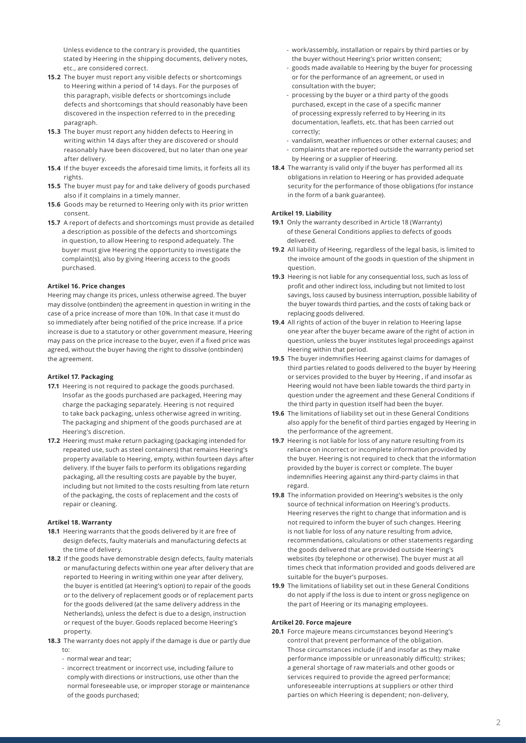Unless evidence to the contrary is provided, the quantities stated by Heering in the shipping documents, delivery notes, etc., are considered correct.

- **15.2** The buyer must report any visible defects or shortcomings to Heering within a period of 14 days. For the purposes of this paragraph, visible defects or shortcomings include defects and shortcomings that should reasonably have been discovered in the inspection referred to in the preceding paragraph.
- **15.3** The buyer must report any hidden defects to Heering in writing within 14 days after they are discovered or should reasonably have been discovered, but no later than one year after delivery.
- **15.4** If the buyer exceeds the aforesaid time limits, it forfeits all its rights.
- **15.5** The buyer must pay for and take delivery of goods purchased also if it complains in a timely manner.
- **15.6** Goods may be returned to Heering only with its prior written consent.
- **15.7** A report of defects and shortcomings must provide as detailed a description as possible of the defects and shortcomings in question, to allow Heering to respond adequately. The buyer must give Heering the opportunity to investigate the complaint(s), also by giving Heering access to the goods purchased.

# **Artikel 16. Price changes**

Heering may change its prices, unless otherwise agreed. The buyer may dissolve (ontbinden) the agreement in question in writing in the case of a price increase of more than 10%. In that case it must do so immediately after being notified of the price increase. If a price increase is due to a statutory or other government measure, Heering may pass on the price increase to the buyer, even if a fixed price was agreed, without the buyer having the right to dissolve (ontbinden) the agreement.

# **Artikel 17. Packaging**

- **17.1** Heering is not required to package the goods purchased. Insofar as the goods purchased are packaged, Heering may charge the packaging separately. Heering is not required to take back packaging, unless otherwise agreed in writing. The packaging and shipment of the goods purchased are at Heering's discretion.
- **17.2** Heering must make return packaging (packaging intended for repeated use, such as steel containers) that remains Heering's property available to Heering, empty, within fourteen days after delivery. If the buyer fails to perform its obligations regarding packaging, all the resulting costs are payable by the buyer, including but not limited to the costs resulting from late return of the packaging, the costs of replacement and the costs of repair or cleaning.

# **Artikel 18. Warranty**

- **18.1** Heering warrants that the goods delivered by it are free of design defects, faulty materials and manufacturing defects at the time of delivery.
- **18.2** If the goods have demonstrable design defects, faulty materials or manufacturing defects within one year after delivery that are reported to Heering in writing within one year after delivery, the buyer is entitled (at Heering's option) to repair of the goods or to the delivery of replacement goods or of replacement parts for the goods delivered (at the same delivery address in the Netherlands), unless the defect is due to a design, instruction or request of the buyer. Goods replaced become Heering's property.
- **18.3** The warranty does not apply if the damage is due or partly due to:
	- normal wear and tear;
	- incorrect treatment or incorrect use, including failure to comply with directions or instructions, use other than the normal foreseeable use, or improper storage or maintenance of the goods purchased;
- work/assembly, installation or repairs by third parties or by the buyer without Heering's prior written consent;
- goods made available to Heering by the buyer for processing or for the performance of an agreement, or used in consultation with the buyer;
- processing by the buyer or a third party of the goods purchased, except in the case of a specific manner of processing expressly referred to by Heering in its documentation, leaflets, etc. that has been carried out correctly;
- vandalism, weather influences or other external causes; and
- complaints that are reported outside the warranty period set by Heering or a supplier of Heering.
- **18.4** The warranty is valid only if the buyer has performed all its obligations in relation to Heering or has provided adequate security for the performance of those obligations (for instance in the form of a bank guarantee).

#### **Artikel 19. Liability**

- **19.1** Only the warranty described in Article 18 (Warranty) of these General Conditions applies to defects of goods delivered.
- **19.2** All liability of Heering, regardless of the legal basis, is limited to the invoice amount of the goods in question of the shipment in question.
- **19.3** Heering is not liable for any consequential loss, such as loss of profit and other indirect loss, including but not limited to lost savings, loss caused by business interruption, possible liability of the buyer towards third parties, and the costs of taking back or replacing goods delivered.
- **19.4** All rights of action of the buyer in relation to Heering lapse one year after the buyer became aware of the right of action in question, unless the buyer institutes legal proceedings against Heering within that period.
- **19.5** The buyer indemnifies Heering against claims for damages of third parties related to goods delivered to the buyer by Heering or services provided to the buyer by Heering , if and insofar as Heering would not have been liable towards the third party in question under the agreement and these General Conditions if the third party in question itself had been the buyer.
- **19.6** The limitations of liability set out in these General Conditions also apply for the benefit of third parties engaged by Heering in the performance of the agreement.
- **19.7** Heering is not liable for loss of any nature resulting from its reliance on incorrect or incomplete information provided by the buyer. Heering is not required to check that the information provided by the buyer is correct or complete. The buyer indemnifies Heering against any third-party claims in that regard.
- **19.8** The information provided on Heering's websites is the only source of technical information on Heering's products. Heering reserves the right to change that information and is not required to inform the buyer of such changes. Heering is not liable for loss of any nature resulting from advice, recommendations, calculations or other statements regarding the goods delivered that are provided outside Heering's websites (by telephone or otherwise). The buyer must at all times check that information provided and goods delivered are suitable for the buyer's purposes.
- **19.9** The limitations of liability set out in these General Conditions do not apply if the loss is due to intent or gross negligence on the part of Heering or its managing employees.

# **Artikel 20. Force majeure**

**20.1** Force majeure means circumstances beyond Heering's control that prevent performance of the obligation. Those circumstances include (if and insofar as they make performance impossible or unreasonably difficult): strikes; a general shortage of raw materials and other goods or services required to provide the agreed performance; unforeseeable interruptions at suppliers or other third parties on which Heering is dependent; non-delivery,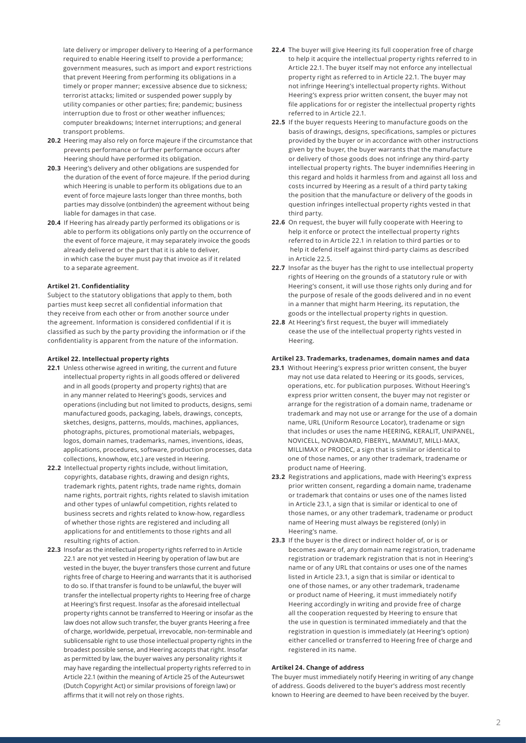late delivery or improper delivery to Heering of a performance required to enable Heering itself to provide a performance; government measures, such as import and export restrictions that prevent Heering from performing its obligations in a timely or proper manner; excessive absence due to sickness; terrorist attacks; limited or suspended power supply by utility companies or other parties; fire; pandemic; business interruption due to frost or other weather influences; computer breakdowns; Internet interruptions; and general transport problems.

- **20.2** Heering may also rely on force majeure if the circumstance that prevents performance or further performance occurs after Heering should have performed its obligation.
- **20.3** Heering's delivery and other obligations are suspended for the duration of the event of force majeure. If the period during which Heering is unable to perform its obligations due to an event of force majeure lasts longer than three months, both parties may dissolve (ontbinden) the agreement without being liable for damages in that case.
- **20.4** If Heering has already partly performed its obligations or is able to perform its obligations only partly on the occurrence of the event of force majeure, it may separately invoice the goods already delivered or the part that it is able to deliver, in which case the buyer must pay that invoice as if it related to a separate agreement.

### **Artikel 21. Confidentiality**

Subject to the statutory obligations that apply to them, both parties must keep secret all confidential information that they receive from each other or from another source under the agreement. Information is considered confidential if it is classified as such by the party providing the information or if the confidentiality is apparent from the nature of the information.

#### **Artikel 22. Intellectual property rights**

- **22.1** Unless otherwise agreed in writing, the current and future intellectual property rights in all goods offered or delivered and in all goods (property and property rights) that are in any manner related to Heering's goods, services and operations (including but not limited to products, designs, semi manufactured goods, packaging, labels, drawings, concepts, sketches, designs, patterns, moulds, machines, appliances, photographs, pictures, promotional materials, webpages, logos, domain names, trademarks, names, inventions, ideas, applications, procedures, software, production processes, data collections, knowhow, etc.) are vested in Heering.
- **22.2** Intellectual property rights include, without limitation, copyrights, database rights, drawing and design rights, trademark rights, patent rights, trade name rights, domain name rights, portrait rights, rights related to slavish imitation and other types of unlawful competition, rights related to business secrets and rights related to know-how, regardless of whether those rights are registered and including all applications for and entitlements to those rights and all resulting rights of action.
- **22.3** Insofar as the intellectual property rights referred to in Article 22.1 are not yet vested in Heering by operation of law but are vested in the buyer, the buyer transfers those current and future rights free of charge to Heering and warrants that it is authorised to do so. If that transfer is found to be unlawful, the buyer will transfer the intellectual property rights to Heering free of charge at Heering's first request. Insofar as the aforesaid intellectual property rights cannot be transferred to Heering or insofar as the law does not allow such transfer, the buyer grants Heering a free of charge, worldwide, perpetual, irrevocable, non-terminable and sublicensable right to use those intellectual property rights in the broadest possible sense, and Heering accepts that right. Insofar as permitted by law, the buyer waives any personality rights it may have regarding the intellectual property rights referred to in Article 22.1 (within the meaning of Article 25 of the Auteurswet (Dutch Copyright Act) or similar provisions of foreign law) or affirms that it will not rely on those rights.
- **22.4** The buyer will give Heering its full cooperation free of charge to help it acquire the intellectual property rights referred to in Article 22.1. The buyer itself may not enforce any intellectual property right as referred to in Article 22.1. The buyer may not infringe Heering's intellectual property rights. Without Heering's express prior written consent, the buyer may not file applications for or register the intellectual property rights referred to in Article 22.1.
- **22.5** If the buyer requests Heering to manufacture goods on the basis of drawings, designs, specifications, samples or pictures provided by the buyer or in accordance with other instructions given by the buyer, the buyer warrants that the manufacture or delivery of those goods does not infringe any third-party intellectual property rights. The buyer indemnifies Heering in this regard and holds it harmless from and against all loss and costs incurred by Heering as a result of a third party taking the position that the manufacture or delivery of the goods in question infringes intellectual property rights vested in that third party.
- **22.6** On request, the buyer will fully cooperate with Heering to help it enforce or protect the intellectual property rights referred to in Article 22.1 in relation to third parties or to help it defend itself against third-party claims as described in Article 22.5.
- **22.7** Insofar as the buyer has the right to use intellectual property rights of Heering on the grounds of a statutory rule or with Heering's consent, it will use those rights only during and for the purpose of resale of the goods delivered and in no event in a manner that might harm Heering, its reputation, the goods or the intellectual property rights in question.
- **22.8** At Heering's first request, the buyer will immediately cease the use of the intellectual property rights vested in Heering.

### **Artikel 23. Trademarks, tradenames, domain names and data**

- **23.1** Without Heering's express prior written consent, the buyer may not use data related to Heering or its goods, services, operations, etc. for publication purposes. Without Heering's express prior written consent, the buyer may not register or arrange for the registration of a domain name, tradename or trademark and may not use or arrange for the use of a domain name, URL (Uniform Resource Locator), tradename or sign that includes or uses the name HEERING, KERALIT, UNIPANEL, NOVICELL, NOVABOARD, FIBERYL, MAMMUT, MILLI-MAX, MILLIMAX or PRODEC, a sign that is similar or identical to one of those names, or any other trademark, tradename or product name of Heering.
- **23.2** Registrations and applications, made with Heering's express prior written consent, regarding a domain name, tradename or trademark that contains or uses one of the names listed in Article 23.1, a sign that is similar or identical to one of those names, or any other trademark, tradename or product name of Heering must always be registered (only) in Heering's name.
- **23.3** If the buyer is the direct or indirect holder of, or is or becomes aware of, any domain name registration, tradename registration or trademark registration that is not in Heering's name or of any URL that contains or uses one of the names listed in Article 23.1, a sign that is similar or identical to one of those names, or any other trademark, tradename or product name of Heering, it must immediately notify Heering accordingly in writing and provide free of charge all the cooperation requested by Heering to ensure that the use in question is terminated immediately and that the registration in question is immediately (at Heering's option) either cancelled or transferred to Heering free of charge and registered in its name.

#### **Artikel 24. Change of address**

The buyer must immediately notify Heering in writing of any change of address. Goods delivered to the buyer's address most recently known to Heering are deemed to have been received by the buyer.